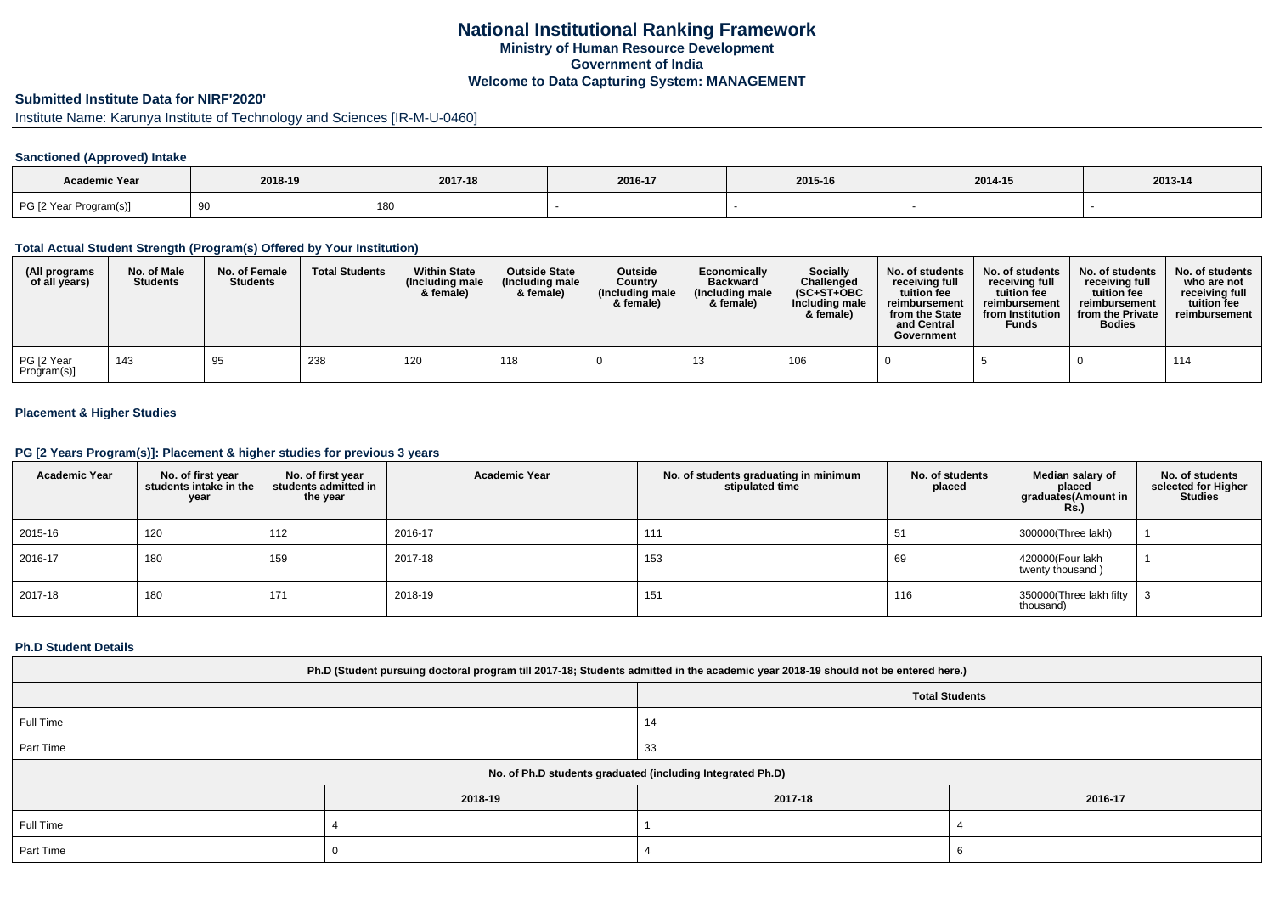# **Submitted Institute Data for NIRF'2020'**

Institute Name: Karunya Institute of Technology and Sciences [IR-M-U-0460]

### **Sanctioned (Approved) Intake**

| Academic Year          |         |         |         |         |         |         |
|------------------------|---------|---------|---------|---------|---------|---------|
|                        | 2018-19 | 2017-18 | 2016-17 | 2015-16 | 2014-15 | 2013-14 |
| PG [2 Year Program(s)] |         | 180     |         |         |         |         |

#### **Total Actual Student Strength (Program(s) Offered by Your Institution)**

| (All programs<br>of all years) | No. of Male<br><b>Students</b> | No. of Female<br><b>Students</b> | <b>Total Students</b> | <b>Within State</b><br>(Including male<br>& female) | <b>Outside State</b><br>(Including male<br>& female) | Outside<br>Country<br>(Including male<br>& female) | Economically<br><b>Backward</b><br>(Including male<br>& female) | Socially<br>Challenged<br>$(SC+ST+OBC$<br>Including male<br>& female) | No. of students<br>receiving full<br>tuition fee<br>reimbursement<br>from the State<br>and Central<br>Government | No. of students<br>receiving full<br>tuition fee<br>reimbursement<br>from Institution<br><b>Funds</b> | No. of students<br>receiving full<br>tuition fee<br>reimbursement<br>from the Private<br><b>Bodies</b> | No. of students<br>who are not<br>receiving full<br>tuition fee<br>reimbursement |
|--------------------------------|--------------------------------|----------------------------------|-----------------------|-----------------------------------------------------|------------------------------------------------------|----------------------------------------------------|-----------------------------------------------------------------|-----------------------------------------------------------------------|------------------------------------------------------------------------------------------------------------------|-------------------------------------------------------------------------------------------------------|--------------------------------------------------------------------------------------------------------|----------------------------------------------------------------------------------|
| PG [2 Year<br>Program(s)]      | 143                            | 95                               | 238                   | 120                                                 | 118                                                  |                                                    |                                                                 | 106                                                                   |                                                                                                                  |                                                                                                       |                                                                                                        | 114                                                                              |

### **Placement & Higher Studies**

#### **PG [2 Years Program(s)]: Placement & higher studies for previous 3 years**

| <b>Academic Year</b> | No. of first year<br>students intake in the<br>year | No. of first year<br>students admitted in<br>the year | <b>Academic Year</b> | No. of students graduating in minimum<br>stipulated time | No. of students<br>placed | Median salary of<br>placed<br>graduates(Amount in<br><b>Rs.)</b> | No. of students<br>selected for Higher<br><b>Studies</b> |
|----------------------|-----------------------------------------------------|-------------------------------------------------------|----------------------|----------------------------------------------------------|---------------------------|------------------------------------------------------------------|----------------------------------------------------------|
| 2015-16              | 120                                                 | 112                                                   | 2016-17              | 111                                                      | 51                        | 300000(Three lakh)                                               |                                                          |
| 2016-17              | 180                                                 | 159                                                   | 2017-18              | 153                                                      | 69                        | 420000(Four lakh<br>twenty thousand)                             |                                                          |
| 2017-18              | 180                                                 | 171                                                   | 2018-19              | 151                                                      | 116                       | 350000(Three lakh fifty<br>thousand)                             |                                                          |

#### **Ph.D Student Details**

| Ph.D (Student pursuing doctoral program till 2017-18; Students admitted in the academic year 2018-19 should not be entered here.) |                                                            |         |         |  |  |  |  |  |
|-----------------------------------------------------------------------------------------------------------------------------------|------------------------------------------------------------|---------|---------|--|--|--|--|--|
| <b>Total Students</b>                                                                                                             |                                                            |         |         |  |  |  |  |  |
| Full Time                                                                                                                         |                                                            | 14      |         |  |  |  |  |  |
| Part Time                                                                                                                         |                                                            | 33      |         |  |  |  |  |  |
|                                                                                                                                   | No. of Ph.D students graduated (including Integrated Ph.D) |         |         |  |  |  |  |  |
|                                                                                                                                   | 2018-19                                                    | 2017-18 | 2016-17 |  |  |  |  |  |
| Full Time                                                                                                                         |                                                            |         |         |  |  |  |  |  |
| Part Time                                                                                                                         |                                                            |         |         |  |  |  |  |  |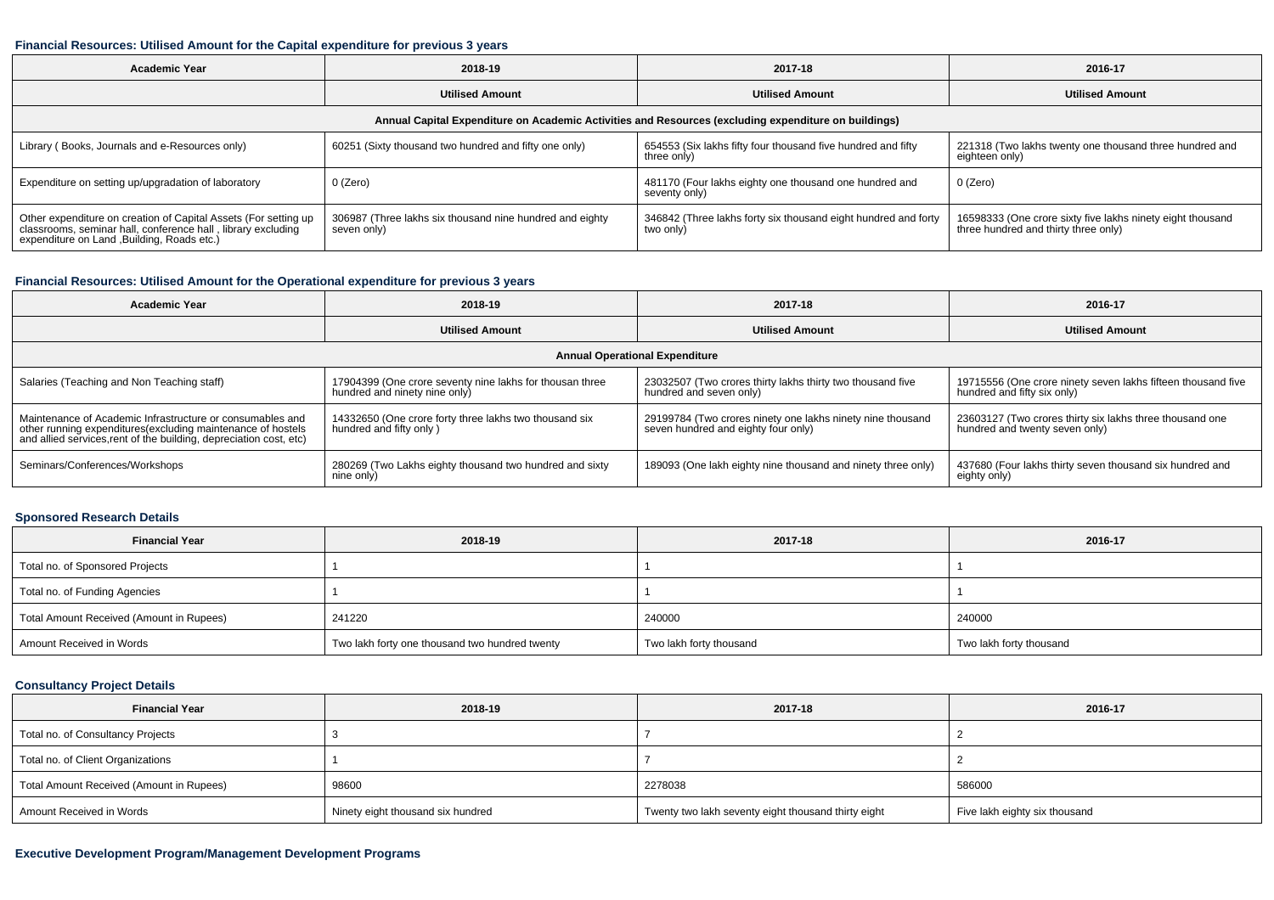#### **Financial Resources: Utilised Amount for the Capital expenditure for previous 3 years**

| Academic Year                                                                                                                                                                  | 2018-19                                                                 | 2017-18                                                                     | 2016-17                                                                                            |  |  |  |  |  |  |
|--------------------------------------------------------------------------------------------------------------------------------------------------------------------------------|-------------------------------------------------------------------------|-----------------------------------------------------------------------------|----------------------------------------------------------------------------------------------------|--|--|--|--|--|--|
|                                                                                                                                                                                | <b>Utilised Amount</b><br><b>Utilised Amount</b>                        |                                                                             | <b>Utilised Amount</b>                                                                             |  |  |  |  |  |  |
| Annual Capital Expenditure on Academic Activities and Resources (excluding expenditure on buildings)                                                                           |                                                                         |                                                                             |                                                                                                    |  |  |  |  |  |  |
| Library (Books, Journals and e-Resources only)                                                                                                                                 | 60251 (Sixty thousand two hundred and fifty one only)                   | 654553 (Six lakhs fifty four thousand five hundred and fifty<br>three only) | 221318 (Two lakhs twenty one thousand three hundred and<br>eighteen only)                          |  |  |  |  |  |  |
| Expenditure on setting up/upgradation of laboratory                                                                                                                            | 0 (Zero)                                                                | 481170 (Four lakhs eighty one thousand one hundred and<br>seventy only)     | 0 (Zero)                                                                                           |  |  |  |  |  |  |
| Other expenditure on creation of Capital Assets (For setting up<br>classrooms, seminar hall, conference hall, library excluding<br>expenditure on Land , Building, Roads etc.) | 306987 (Three lakhs six thousand nine hundred and eighty<br>seven only) | 346842 (Three lakhs forty six thousand eight hundred and forty<br>two only) | 16598333 (One crore sixty five lakhs ninety eight thousand<br>three hundred and thirty three only) |  |  |  |  |  |  |

### **Financial Resources: Utilised Amount for the Operational expenditure for previous 3 years**

| <b>Academic Year</b>                                                                                                                                                                           | 2018-19                                                                                   | 2017-18                                                                                           | 2016-17                                                                                     |  |  |  |  |  |  |
|------------------------------------------------------------------------------------------------------------------------------------------------------------------------------------------------|-------------------------------------------------------------------------------------------|---------------------------------------------------------------------------------------------------|---------------------------------------------------------------------------------------------|--|--|--|--|--|--|
|                                                                                                                                                                                                | <b>Utilised Amount</b>                                                                    | <b>Utilised Amount</b>                                                                            | <b>Utilised Amount</b>                                                                      |  |  |  |  |  |  |
| <b>Annual Operational Expenditure</b>                                                                                                                                                          |                                                                                           |                                                                                                   |                                                                                             |  |  |  |  |  |  |
| Salaries (Teaching and Non Teaching staff)                                                                                                                                                     | 17904399 (One crore seventy nine lakhs for thousan three<br>hundred and ninety nine only) | 23032507 (Two crores thirty lakhs thirty two thousand five<br>hundred and seven only)             | 19715556 (One crore ninety seven lakhs fifteen thousand five<br>hundred and fifty six only) |  |  |  |  |  |  |
| Maintenance of Academic Infrastructure or consumables and<br>other running expenditures(excluding maintenance of hostels<br>and allied services, rent of the building, depreciation cost, etc) | 14332650 (One crore forty three lakhs two thousand six<br>hundred and fifty only)         | 29199784 (Two crores ninety one lakhs ninety nine thousand<br>seven hundred and eighty four only) | 23603127 (Two crores thirty six lakhs three thousand one<br>hundred and twenty seven only)  |  |  |  |  |  |  |
| Seminars/Conferences/Workshops                                                                                                                                                                 | 280269 (Two Lakhs eighty thousand two hundred and sixty<br>nine only)                     | 189093 (One lakh eighty nine thousand and ninety three only)                                      | 437680 (Four lakhs thirty seven thousand six hundred and<br>eighty only)                    |  |  |  |  |  |  |

### **Sponsored Research Details**

| <b>Financial Year</b>                    | 2018-19                                        | 2017-18                 | 2016-17                 |
|------------------------------------------|------------------------------------------------|-------------------------|-------------------------|
| Total no. of Sponsored Projects          |                                                |                         |                         |
| Total no. of Funding Agencies            |                                                |                         |                         |
| Total Amount Received (Amount in Rupees) | 241220                                         | 240000                  | 240000                  |
| Amount Received in Words                 | Two lakh forty one thousand two hundred twenty | Two lakh forty thousand | Two lakh forty thousand |

# **Consultancy Project Details**

| <b>Financial Year</b>                    | 2018-19                           | 2017-18                                             | 2016-17                       |
|------------------------------------------|-----------------------------------|-----------------------------------------------------|-------------------------------|
| Total no. of Consultancy Projects        |                                   |                                                     |                               |
| Total no. of Client Organizations        |                                   |                                                     |                               |
| Total Amount Received (Amount in Rupees) | 98600                             | 2278038                                             | 586000                        |
| Amount Received in Words                 | Ninety eight thousand six hundred | Twenty two lakh seventy eight thousand thirty eight | Five lakh eighty six thousand |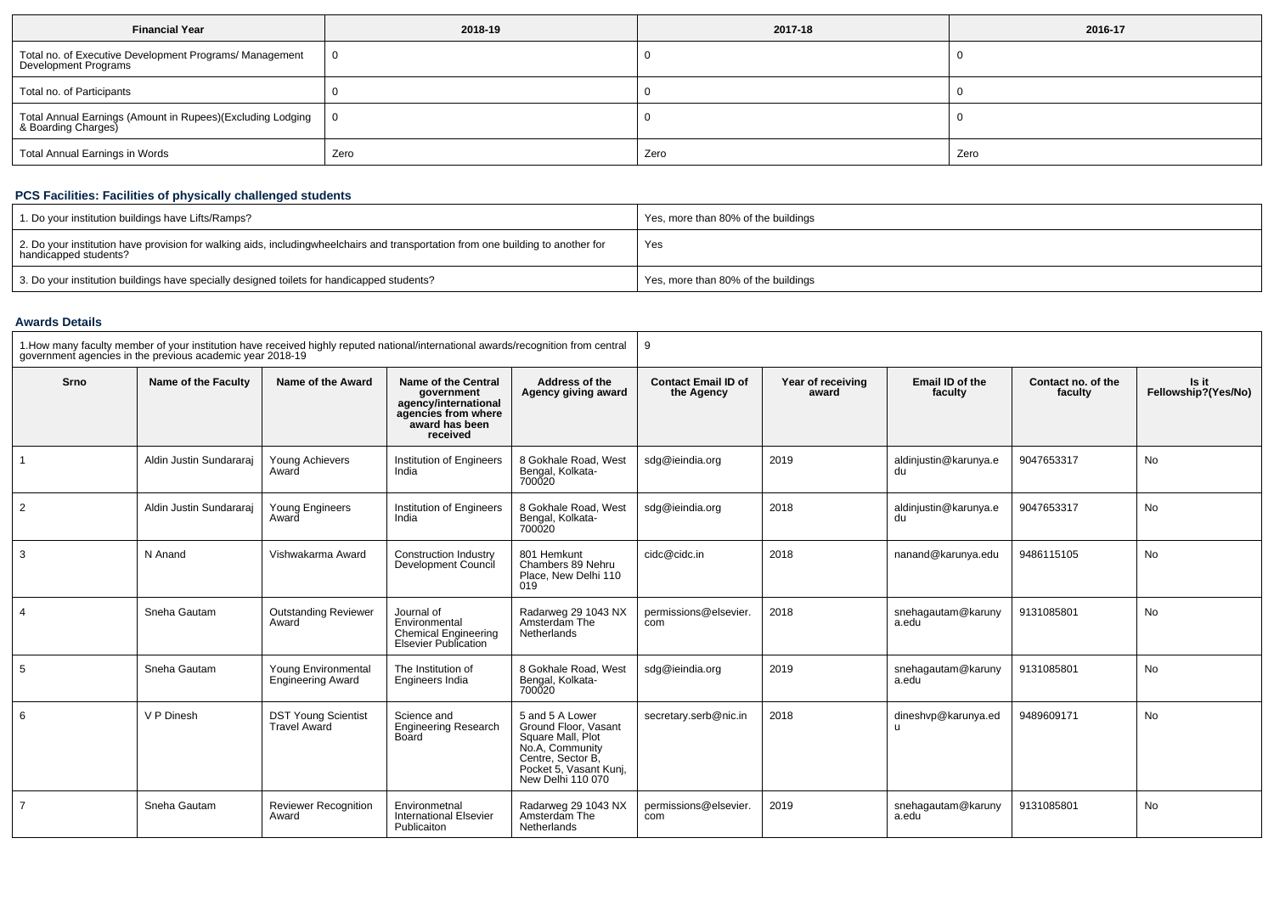| <b>Financial Year</b>                                                             | 2018-19 | 2017-18 | 2016-17 |
|-----------------------------------------------------------------------------------|---------|---------|---------|
| Total no. of Executive Development Programs/ Management<br>Development Programs   |         |         |         |
| Total no. of Participants                                                         |         |         |         |
| Total Annual Earnings (Amount in Rupees)(Excluding Lodging<br>& Boarding Charges) |         |         |         |
| <b>Total Annual Earnings in Words</b>                                             | Zero    | Zero    | Zero    |

### **PCS Facilities: Facilities of physically challenged students**

| 1. Do your institution buildings have Lifts/Ramps?                                                                                                        | Yes, more than 80% of the buildings |
|-----------------------------------------------------------------------------------------------------------------------------------------------------------|-------------------------------------|
| 2. Do your institution have provision for walking aids, includingwheelchairs and transportation from one building to another for<br>handicapped students? | Yes                                 |
| 3. Do your institution buildings have specially designed toilets for handicapped students?                                                                | Yes, more than 80% of the buildings |

### **Awards Details**

| 1. How many faculty member of your institution have received highly reputed national/international awards/recognition from central<br>government agencies in the previous academic year 2018-19 |                         |                                                 | 9                                                                                                                     |                                                                                                                                                     |                                          |                            |                             |                               |                              |
|-------------------------------------------------------------------------------------------------------------------------------------------------------------------------------------------------|-------------------------|-------------------------------------------------|-----------------------------------------------------------------------------------------------------------------------|-----------------------------------------------------------------------------------------------------------------------------------------------------|------------------------------------------|----------------------------|-----------------------------|-------------------------------|------------------------------|
| Srno                                                                                                                                                                                            | Name of the Faculty     | Name of the Award                               | <b>Name of the Central</b><br>aovernment<br>agency/international<br>agencies from where<br>award has been<br>received | Address of the<br>Agency giving award                                                                                                               | <b>Contact Email ID of</b><br>the Agency | Year of receiving<br>award | Email ID of the<br>faculty  | Contact no. of the<br>faculty | Is it<br>Fellowship?(Yes/No) |
|                                                                                                                                                                                                 | Aldin Justin Sundararaj | Young Achievers<br>Award                        | Institution of Engineers<br>India                                                                                     | 8 Gokhale Road, West<br>Bengal, Kolkata-<br>700020                                                                                                  | sdg@ieindia.org                          | 2019                       | aldinjustin@karunya.e<br>du | 9047653317                    | No                           |
| 2                                                                                                                                                                                               | Aldin Justin Sundararaj | Young Engineers<br>Award                        | Institution of Engineers<br>India                                                                                     | 8 Gokhale Road. West<br>Bengal, Kolkata-<br>700020                                                                                                  | sdg@ieindia.org                          | 2018                       | aldinjustin@karunya.e<br>du | 9047653317                    | No                           |
| 3                                                                                                                                                                                               | N Anand                 | Vishwakarma Award                               | <b>Construction Industry</b><br>Development Council                                                                   | 801 Hemkunt<br>Chambers 89 Nehru<br>Place. New Delhi 110<br>019                                                                                     | cidc@cidc.in                             | 2018                       | nanand@karunya.edu          | 9486115105                    | No                           |
|                                                                                                                                                                                                 | Sneha Gautam            | <b>Outstanding Reviewer</b><br>Award            | Journal of<br>Environmental<br><b>Chemical Engineering</b><br><b>Elsevier Publication</b>                             | Radarweg 29 1043 NX<br>Amsterdam The<br>Netherlands                                                                                                 | permissions@elsevier.<br>com             | 2018                       | snehagautam@karuny<br>a.edu | 9131085801                    | No                           |
| 5                                                                                                                                                                                               | Sneha Gautam            | Young Environmental<br><b>Engineering Award</b> | The Institution of<br>Engineers India                                                                                 | 8 Gokhale Road, West<br>Bengal, Kolkata-<br>700020                                                                                                  | sdg@ieindia.org                          | 2019                       | snehagautam@karuny<br>a.edu | 9131085801                    | No                           |
| 6                                                                                                                                                                                               | V P Dinesh              | <b>DST Young Scientist</b><br>Travel Award      | Science and<br><b>Engineering Research</b><br>Board                                                                   | 5 and 5 A Lower<br>Ground Floor, Vasant<br>Square Mall, Plot<br>No.A, Community<br>Centre, Sector B.<br>Pocket 5, Vasant Kunj,<br>New Delhi 110 070 | secretary.serb@nic.in                    | 2018                       | dineshvp@karunya.ed         | 9489609171                    | No                           |
|                                                                                                                                                                                                 | Sneha Gautam            | <b>Reviewer Recognition</b><br>Award            | Environmetnal<br><b>International Elsevier</b><br>Publicaiton                                                         | Radarweg 29 1043 NX<br>Amsterdam The<br>Netherlands                                                                                                 | permissions@elsevier.<br>com             | 2019                       | snehagautam@karuny<br>a.edu | 9131085801                    | No                           |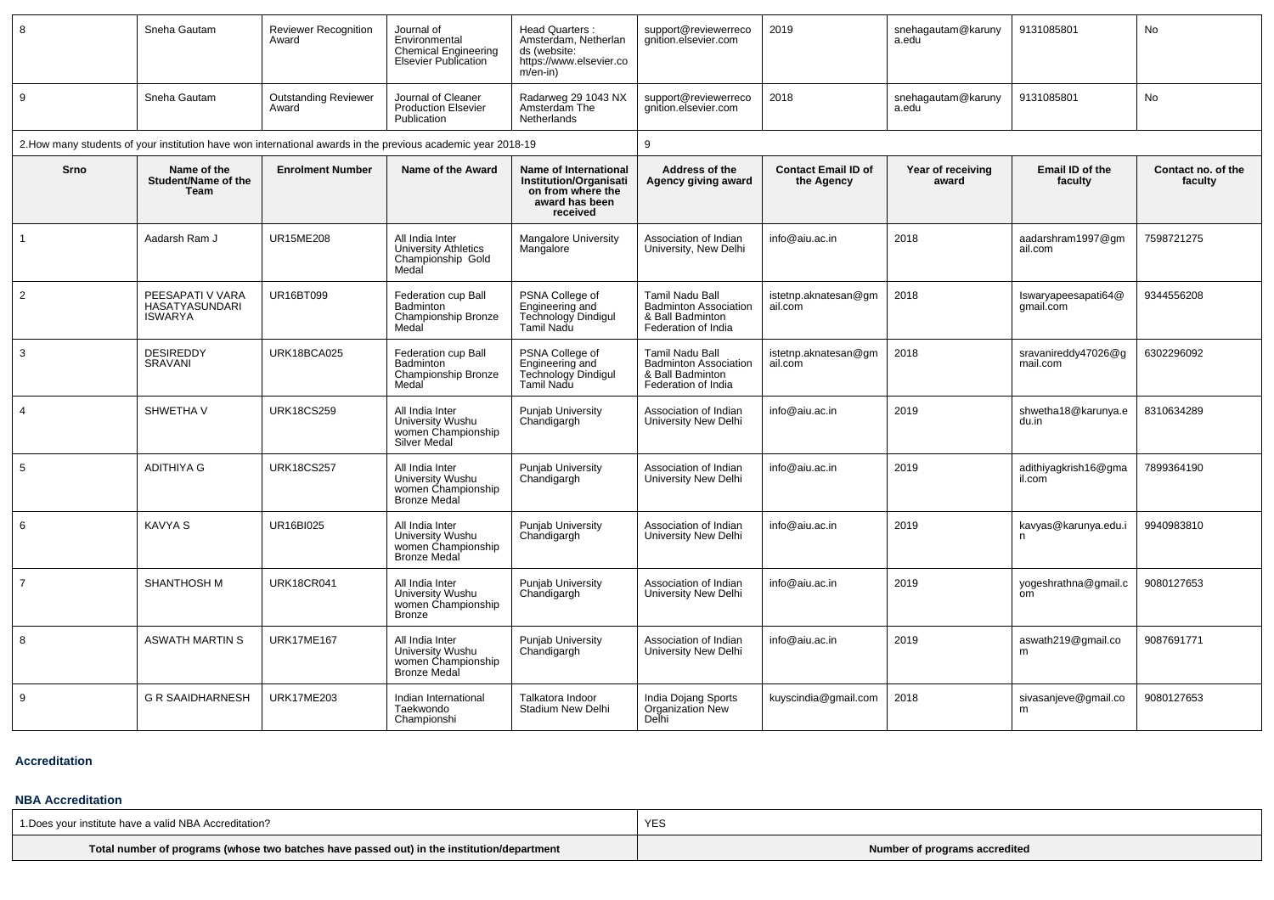| 8              | Sneha Gautam                                                | <b>Reviewer Recognition</b><br>Award | Journal of<br>Environmental<br><b>Chemical Engineering</b><br><b>Elsevier Publication</b>                    | Head Quarters:<br>Amsterdam, Netherlan<br>ds (website:<br>https://www.elsevier.co<br>m/en-in)             | support@reviewerreco<br>gnition.elsevier.com                                                      | 2019                                     | snehagautam@karuny<br>a.edu | 9131085801                       | No                            |
|----------------|-------------------------------------------------------------|--------------------------------------|--------------------------------------------------------------------------------------------------------------|-----------------------------------------------------------------------------------------------------------|---------------------------------------------------------------------------------------------------|------------------------------------------|-----------------------------|----------------------------------|-------------------------------|
| 9              | Sneha Gautam                                                | <b>Outstanding Reviewer</b><br>Award | Journal of Cleaner<br><b>Production Elsevier</b><br>Publication                                              | Radarweg 29 1043 NX<br>Amsterdam The<br>Netherlands                                                       | support@reviewerreco<br>qnition.elsevier.com                                                      | 2018                                     | snehagautam@karuny<br>a.edu | 9131085801                       | <b>No</b>                     |
|                |                                                             |                                      | 2. How many students of your institution have won international awards in the previous academic year 2018-19 |                                                                                                           | 9                                                                                                 |                                          |                             |                                  |                               |
| Srno           | Name of the<br>Student/Name of the<br><b>Team</b>           | <b>Enrolment Number</b>              | Name of the Award                                                                                            | <b>Name of International</b><br>Institution/Organisati<br>on from where the<br>award has been<br>received | Address of the<br>Agency giving award                                                             | <b>Contact Email ID of</b><br>the Agency | Year of receiving<br>award  | Email ID of the<br>faculty       | Contact no. of the<br>faculty |
| $\mathbf{1}$   | Aadarsh Ram J                                               | <b>UR15ME208</b>                     | All India Inter<br><b>University Athletics</b><br>Championship Gold<br>Medal                                 | <b>Mangalore University</b><br>Mangalore                                                                  | Association of Indian<br>University, New Delhi                                                    | info@aiu.ac.in                           | 2018                        | aadarshram1997@gm<br>ail.com     | 7598721275                    |
| $\overline{2}$ | PEESAPATI V VARA<br><b>HASATYASUNDARI</b><br><b>ISWARYA</b> | UR16BT099                            | Federation cup Ball<br><b>Badminton</b><br>Championship Bronze<br>Medal                                      | PSNA College of<br>Engineering and<br><b>Technology Dindigul</b><br>Tamil Nadu                            | Tamil Nadu Ball<br><b>Badminton Association</b><br>& Ball Badminton<br>Federation of India        | istetnp.aknatesan@gm<br>ail.com          | 2018                        | Iswaryapeesapati64@<br>qmail.com | 9344556208                    |
| 3              | <b>DESIREDDY</b><br><b>SRAVANI</b>                          | URK18BCA025                          | Federation cup Ball<br>Badminton<br>Championship Bronze<br>Medal                                             | PSNA College of<br>Engineering and<br><b>Technology Dindigul</b><br>Tamil Nadu                            | <b>Tamil Nadu Ball</b><br><b>Badminton Association</b><br>& Ball Badminton<br>Federation of India | istetnp.aknatesan@gm<br>ail.com          | 2018                        | sravanireddy47026@q<br>mail.com  | 6302296092                    |
| $\overline{4}$ | SHWETHA V                                                   | <b>URK18CS259</b>                    | All India Inter<br>University Wushu<br>women Championship<br><b>Silver Medal</b>                             | <b>Punjab University</b><br>Chandigargh                                                                   | Association of Indian<br>University New Delhi                                                     | info@aiu.ac.in                           | 2019                        | shwetha18@karunya.e<br>du.in     | 8310634289                    |
| 5              | <b>ADITHIYA G</b>                                           | <b>URK18CS257</b>                    | All India Inter<br>University Wushu<br>women Championship<br><b>Bronze Medal</b>                             | <b>Punjab University</b><br>Chandigargh                                                                   | Association of Indian<br>University New Delhi                                                     | info@aiu.ac.in                           | 2019                        | adithiyagkrish16@gma<br>il.com   | 7899364190                    |
| 6              | <b>KAVYA S</b>                                              | UR16BI025                            | All India Inter<br>University Wushu<br>women Championship<br>Bronze Medal                                    | <b>Punjab University</b><br>Chandigargh                                                                   | Association of Indian<br>University New Delhi                                                     | info@aiu.ac.in                           | 2019                        | kavyas@karunya.edu.i             | 9940983810                    |
| $\overline{7}$ | <b>SHANTHOSH M</b>                                          | <b>URK18CR041</b>                    | All India Inter<br>University Wushu<br>women Championship<br><b>Bronze</b>                                   | <b>Punjab University</b><br>Chandigargh                                                                   | Association of Indian<br>University New Delhi                                                     | info@aiu.ac.in                           | 2019                        | yogeshrathna@gmail.c<br>om       | 9080127653                    |
| 8              | <b>ASWATH MARTIN S</b>                                      | <b>URK17ME167</b>                    | All India Inter<br>University Wushu<br>women Championship<br>Bronze Medal                                    | <b>Punjab University</b><br>Chandigargh                                                                   | Association of Indian<br>University New Delhi                                                     | info@aiu.ac.in                           | 2019                        | aswath219@gmail.co<br>m          | 9087691771                    |
| 9              | <b>G R SAAIDHARNESH</b>                                     | <b>URK17ME203</b>                    | Indian International<br>Taekwondo<br>Championshi                                                             | Talkatora Indoor<br>Stadium New Delhi                                                                     | India Dojang Sports<br>Organization New<br>Delhi                                                  | kuyscindia@gmail.com                     | 2018                        | sivasanjeve@gmail.co<br>m        | 9080127653                    |

#### **Accreditation**

#### **NBA Accreditation**

| 1. Does your institute have a valid NBA Accreditation?                                     | <b>YES</b>                    |
|--------------------------------------------------------------------------------------------|-------------------------------|
| Total number of programs (whose two batches have passed out) in the institution/department | Number of programs accredited |